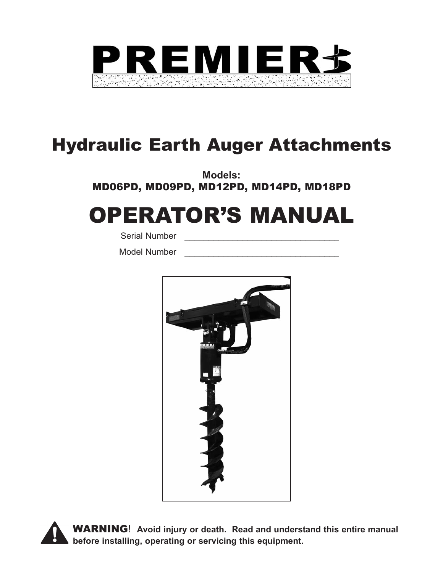

# Hydraulic Earth Auger Attachments

**Models:**  MD06PD, MD09PD, MD12PD, MD14PD, MD18PD

# OPERATOR'S MANUAL

Serial Number

Model Number



WARNING! **Avoid injury or death. Read and understand this entire manual before installing, operating or servicing this equipment.**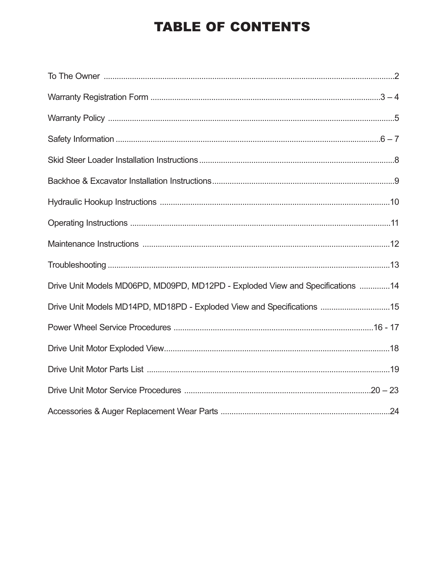## **TABLE OF CONTENTS**

| Drive Unit Models MD06PD, MD09PD, MD12PD - Exploded View and Specifications 14 |  |
|--------------------------------------------------------------------------------|--|
| Drive Unit Models MD14PD, MD18PD - Exploded View and Specifications 15         |  |
|                                                                                |  |
|                                                                                |  |
|                                                                                |  |
|                                                                                |  |
|                                                                                |  |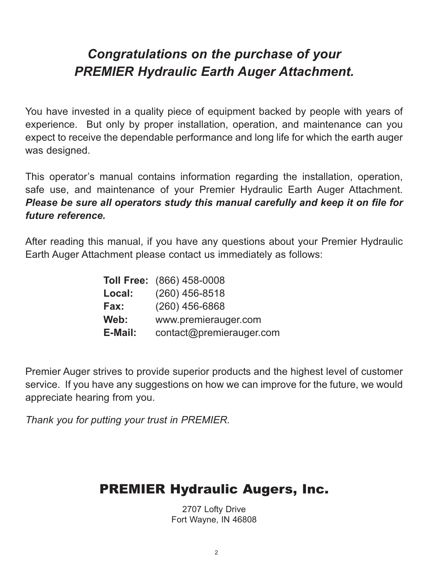## *Congratulations on the purchase of your PREMIER Hydraulic Earth Auger Attachment.*

You have invested in a quality piece of equipment backed by people with years of experience. But only by proper installation, operation, and maintenance can you expect to receive the dependable performance and long life for which the earth auger was designed.

This operator's manual contains information regarding the installation, operation, safe use, and maintenance of your Premier Hydraulic Earth Auger Attachment. *Please be sure all operators study this manual carefully and keep it on file for future reference.*

After reading this manual, if you have any questions about your Premier Hydraulic Earth Auger Attachment please contact us immediately as follows:

|         | <b>Toll Free:</b> (866) 458-0008 |
|---------|----------------------------------|
| Local:  | $(260)$ 456-8518                 |
| Fax:    | $(260)$ 456-6868                 |
| Web:    | www.premierauger.com             |
| E-Mail: | contact@premierauger.com         |

Premier Auger strives to provide superior products and the highest level of customer service. If you have any suggestions on how we can improve for the future, we would appreciate hearing from you.

*Thank you for putting your trust in PREMIER.*

## PREMIER Hydraulic Augers, Inc.

2707 Lofty Drive Fort Wayne, IN 46808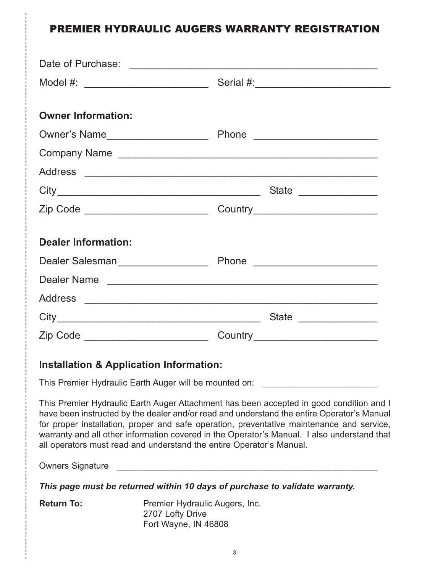## PREMIER HYDRAULIC AUGERS WARRANTY REGISTRATION

| <b>Owner Information:</b>                          |                                                                                                                                                                                                                                                                                                                                                                                                                                                           |
|----------------------------------------------------|-----------------------------------------------------------------------------------------------------------------------------------------------------------------------------------------------------------------------------------------------------------------------------------------------------------------------------------------------------------------------------------------------------------------------------------------------------------|
|                                                    |                                                                                                                                                                                                                                                                                                                                                                                                                                                           |
|                                                    |                                                                                                                                                                                                                                                                                                                                                                                                                                                           |
|                                                    |                                                                                                                                                                                                                                                                                                                                                                                                                                                           |
|                                                    | State _______________                                                                                                                                                                                                                                                                                                                                                                                                                                     |
|                                                    |                                                                                                                                                                                                                                                                                                                                                                                                                                                           |
| <b>Dealer Information:</b>                         |                                                                                                                                                                                                                                                                                                                                                                                                                                                           |
|                                                    |                                                                                                                                                                                                                                                                                                                                                                                                                                                           |
|                                                    | Dealer Name                                                                                                                                                                                                                                                                                                                                                                                                                                               |
|                                                    |                                                                                                                                                                                                                                                                                                                                                                                                                                                           |
|                                                    |                                                                                                                                                                                                                                                                                                                                                                                                                                                           |
|                                                    |                                                                                                                                                                                                                                                                                                                                                                                                                                                           |
| <b>Installation &amp; Application Information:</b> |                                                                                                                                                                                                                                                                                                                                                                                                                                                           |
|                                                    | This Premier Hydraulic Earth Auger will be mounted on: _________________________                                                                                                                                                                                                                                                                                                                                                                          |
|                                                    | This Premier Hydraulic Earth Auger Attachment has been accepted in good condition and I<br>have been instructed by the dealer and/or read and understand the entire Operator's Manual<br>for proper installation, proper and safe operation, preventative maintenance and service,<br>warranty and all other information covered in the Operator's Manual. I also understand that<br>all operators must read and understand the entire Operator's Manual. |
|                                                    |                                                                                                                                                                                                                                                                                                                                                                                                                                                           |
|                                                    | This page must be returned within 10 days of purchase to validate warranty.                                                                                                                                                                                                                                                                                                                                                                               |
| <b>Return To:</b>                                  | Premier Hydraulic Augers, Inc.<br>2707 Lofty Drive<br>Fort Wayne, IN 46808                                                                                                                                                                                                                                                                                                                                                                                |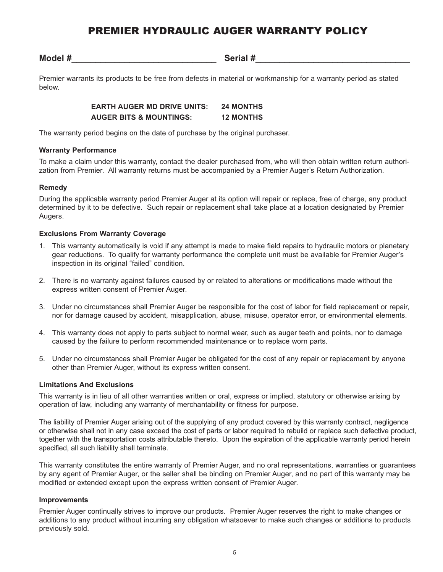## PREMIER HYDRAULIC AUGER WARRANTY POLICY

**Model #**\_\_\_\_\_\_\_\_\_\_\_\_\_\_\_\_\_\_\_\_\_\_\_\_\_\_\_\_\_\_ **Serial #**\_\_\_\_\_\_\_\_\_\_\_\_\_\_\_\_\_\_\_\_\_\_\_\_\_\_\_\_\_\_\_\_

Premier warrants its products to be free from defects in material or workmanship for a warranty period as stated below.

> **EARTH AUGER MD DRIVE UNITS: 24 MONTHS AUGER BITS & MOUNTINGS: 12 MONTHS**

The warranty period begins on the date of purchase by the original purchaser.

#### **Warranty Performance**

To make a claim under this warranty, contact the dealer purchased from, who will then obtain written return authorization from Premier. All warranty returns must be accompanied by a Premier Auger's Return Authorization.

#### **Remedy**

During the applicable warranty period Premier Auger at its option will repair or replace, free of charge, any product determined by it to be defective. Such repair or replacement shall take place at a location designated by Premier Augers.

#### **Exclusions From Warranty Coverage**

- 1. This warranty automatically is void if any attempt is made to make field repairs to hydraulic motors or planetary gear reductions. To qualify for warranty performance the complete unit must be available for Premier Auger's inspection in its original "failed" condition.
- 2. There is no warranty against failures caused by or related to alterations or modifications made without the express written consent of Premier Auger.
- 3. Under no circumstances shall Premier Auger be responsible for the cost of labor for field replacement or repair, nor for damage caused by accident, misapplication, abuse, misuse, operator error, or environmental elements.
- 4. This warranty does not apply to parts subject to normal wear, such as auger teeth and points, nor to damage caused by the failure to perform recommended maintenance or to replace worn parts.
- 5. Under no circumstances shall Premier Auger be obligated for the cost of any repair or replacement by anyone other than Premier Auger, without its express written consent.

#### **Limitations And Exclusions**

This warranty is in lieu of all other warranties written or oral, express or implied, statutory or otherwise arising by operation of law, including any warranty of merchantability or fitness for purpose.

The liability of Premier Auger arising out of the supplying of any product covered by this warranty contract, negligence or otherwise shall not in any case exceed the cost of parts or labor required to rebuild or replace such defective product, together with the transportation costs attributable thereto. Upon the expiration of the applicable warranty period herein specified, all such liability shall terminate.

This warranty constitutes the entire warranty of Premier Auger, and no oral representations, warranties or guarantees by any agent of Premier Auger, or the seller shall be binding on Premier Auger, and no part of this warranty may be modified or extended except upon the express written consent of Premier Auger.

#### **Improvements**

Premier Auger continually strives to improve our products. Premier Auger reserves the right to make changes or additions to any product without incurring any obligation whatsoever to make such changes or additions to products previously sold.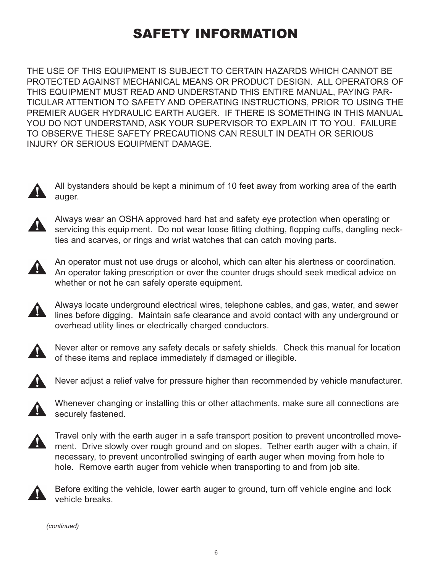## SAFETY INFORMATION

THE USE OF THIS EQUIPMENT IS SUBJECT TO CERTAIN HAZARDS WHICH CANNOT BE PROTECTED AGAINST MECHANICAL MEANS OR PRODUCT DESIGN. ALL OPERATORS OF THIS EQUIPMENT MUST READ AND UNDERSTAND THIS ENTIRE MANUAL, PAYING PAR-TICULAR ATTENTION TO SAFETY AND OPERATING INSTRUCTIONS, PRIOR TO USING THE PREMIER AUGER HYDRAULIC EARTH AUGER. IF THERE IS SOMETHING IN THIS MANUAL YOU DO NOT UNDERSTAND, ASK YOUR SUPERVISOR TO EXPLAIN IT TO YOU. FAILURE TO OBSERVE THESE SAFETY PRECAUTIONS CAN RESULT IN DEATH OR SERIOUS INJURY OR SERIOUS EQUIPMENT DAMAGE.



All bystanders should be kept a minimum of 10 feet away from working area of the earth auger.



Always wear an OSHA approved hard hat and safety eye protection when operating or servicing this equip ment. Do not wear loose fitting clothing, flopping cuffs, dangling neckties and scarves, or rings and wrist watches that can catch moving parts.



An operator must not use drugs or alcohol, which can alter his alertness or coordination. An operator taking prescription or over the counter drugs should seek medical advice on whether or not he can safely operate equipment.

Always locate underground electrical wires, telephone cables, and gas, water, and sewer 4 lines before digging. Maintain safe clearance and avoid contact with any underground or overhead utility lines or electrically charged conductors.



Never alter or remove any safety decals or safety shields. Check this manual for location of these items and replace immediately if damaged or illegible.



Never adjust a relief valve for pressure higher than recommended by vehicle manufacturer.



Whenever changing or installing this or other attachments, make sure all connections are securely fastened.



Travel only with the earth auger in a safe transport position to prevent uncontrolled movement. Drive slowly over rough ground and on slopes. Tether earth auger with a chain, if necessary, to prevent uncontrolled swinging of earth auger when moving from hole to hole. Remove earth auger from vehicle when transporting to and from job site.



Before exiting the vehicle, lower earth auger to ground, turn off vehicle engine and lock vehicle breaks.

*(continued)*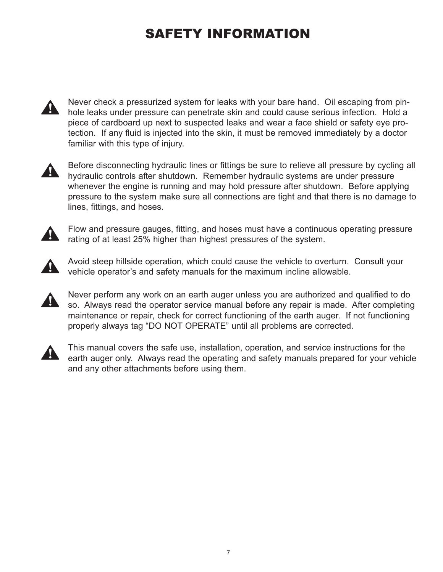## SAFETY INFORMATION



Never check a pressurized system for leaks with your bare hand. Oil escaping from pinhole leaks under pressure can penetrate skin and could cause serious infection. Hold a piece of cardboard up next to suspected leaks and wear a face shield or safety eye protection. If any fluid is injected into the skin, it must be removed immediately by a doctor familiar with this type of injury.



Before disconnecting hydraulic lines or fittings be sure to relieve all pressure by cycling all hydraulic controls after shutdown. Remember hydraulic systems are under pressure whenever the engine is running and may hold pressure after shutdown. Before applying pressure to the system make sure all connections are tight and that there is no damage to lines, fittings, and hoses.



Flow and pressure gauges, fitting, and hoses must have a continuous operating pressure rating of at least 25% higher than highest pressures of the system.



Avoid steep hillside operation, which could cause the vehicle to overturn. Consult your vehicle operator's and safety manuals for the maximum incline allowable.



Never perform any work on an earth auger unless you are authorized and qualified to do so. Always read the operator service manual before any repair is made. After completing maintenance or repair, check for correct functioning of the earth auger. If not functioning properly always tag "DO NOT OPERATE" until all problems are corrected.



This manual covers the safe use, installation, operation, and service instructions for the earth auger only. Always read the operating and safety manuals prepared for your vehicle and any other attachments before using them.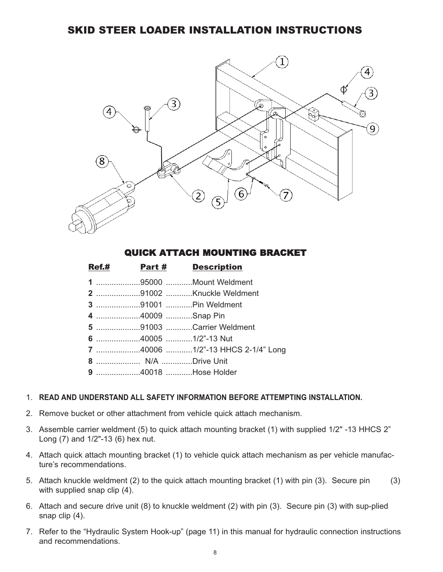### SKID STEER LOADER INSTALLATION INSTRUCTIONS



#### QUICK ATTACH MOUNTING BRACKET

|  | <b>Ref.#</b> Part # Description |
|--|---------------------------------|
|  | 1 95000 Mount Weldment          |
|  | 2 91002 Knuckle Weldment        |
|  |                                 |
|  |                                 |
|  | 5 91003 Carrier Weldment        |
|  |                                 |
|  |                                 |
|  |                                 |
|  | 9 40018 Hose Holder             |

#### 1. **READ AND UNDERSTAND ALL SAFETY INFORMATION BEFORE ATTEMPTING INSTALLATION.**

- 2. Remove bucket or other attachment from vehicle quick attach mechanism.
- 3. Assemble carrier weldment (5) to quick attach mounting bracket (1) with supplied 1/2" -13 HHCS 2" Long (7) and 1/2"-13 (6) hex nut.
- 4. Attach quick attach mounting bracket (1) to vehicle quick attach mechanism as per vehicle manufacture's recommendations.
- 5. Attach knuckle weldment (2) to the quick attach mounting bracket (1) with pin (3). Secure pin (3) with supplied snap clip (4).
- 6. Attach and secure drive unit (8) to knuckle weldment (2) with pin (3). Secure pin (3) with sup-plied snap clip (4).
- 7. Refer to the "Hydraulic System Hook-up" (page 11) in this manual for hydraulic connection instructions and recommendations.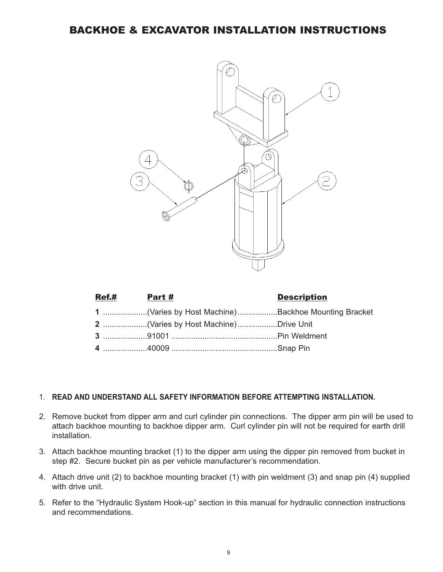BACKHOE & EXCAVATOR INSTALLATION INSTRUCTIONS



| Ref.# Part # |                                                     | <b>Description</b> |
|--------------|-----------------------------------------------------|--------------------|
|              | 1 (Varies by Host Machine) Backhoe Mounting Bracket |                    |
|              | 2 (Varies by Host Machine)Drive Unit                |                    |
|              |                                                     |                    |
|              |                                                     |                    |

#### 1. **READ AND UNDERSTAND ALL SAFETY INFORMATION BEFORE ATTEMPTING INSTALLATION.**

- 2. Remove bucket from dipper arm and curl cylinder pin connections. The dipper arm pin will be used to attach backhoe mounting to backhoe dipper arm. Curl cylinder pin will not be required for earth drill installation.
- 3. Attach backhoe mounting bracket (1) to the dipper arm using the dipper pin removed from bucket in step #2. Secure bucket pin as per vehicle manufacturer's recommendation.
- 4. Attach drive unit (2) to backhoe mounting bracket (1) with pin weldment (3) and snap pin (4) supplied with drive unit.
- 5. Refer to the "Hydraulic System Hook-up" section in this manual for hydraulic connection instructions and recommendations.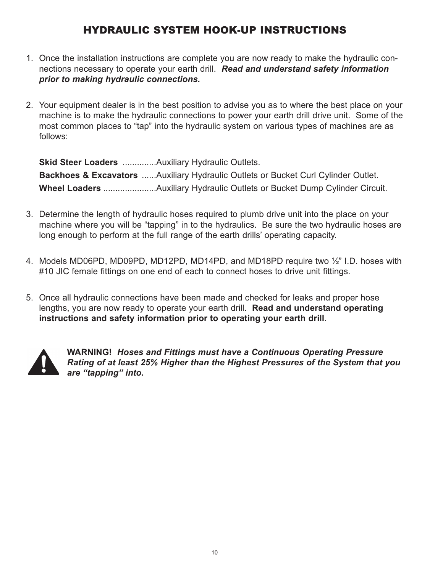## HYDRAULIC SYSTEM HOOK-UP INSTRUCTIONS

- 1. Once the installation instructions are complete you are now ready to make the hydraulic connections necessary to operate your earth drill. *Read and understand safety information prior to making hydraulic connections.*
- 2. Your equipment dealer is in the best position to advise you as to where the best place on your machine is to make the hydraulic connections to power your earth drill drive unit. Some of the most common places to "tap" into the hydraulic system on various types of machines are as follows:

**Skid Steer Loaders** ..............Auxiliary Hydraulic Outlets. **Backhoes & Excavators** ......Auxiliary Hydraulic Outlets or Bucket Curl Cylinder Outlet. **Wheel Loaders** ......................Auxiliary Hydraulic Outlets or Bucket Dump Cylinder Circuit.

- 3. Determine the length of hydraulic hoses required to plumb drive unit into the place on your machine where you will be "tapping" in to the hydraulics. Be sure the two hydraulic hoses are long enough to perform at the full range of the earth drills' operating capacity.
- 4. Models MD06PD, MD09PD, MD12PD, MD14PD, and MD18PD require two ½" I.D. hoses with #10 JIC female fittings on one end of each to connect hoses to drive unit fittings.
- 5. Once all hydraulic connections have been made and checked for leaks and proper hose lengths, you are now ready to operate your earth drill. **Read and understand operating instructions and safety information prior to operating your earth drill**.



**WARNING!** *Hoses and Fittings must have a Continuous Operating Pressure Rating of at least 25% Higher than the Highest Pressures of the System that you are "tapping" into.*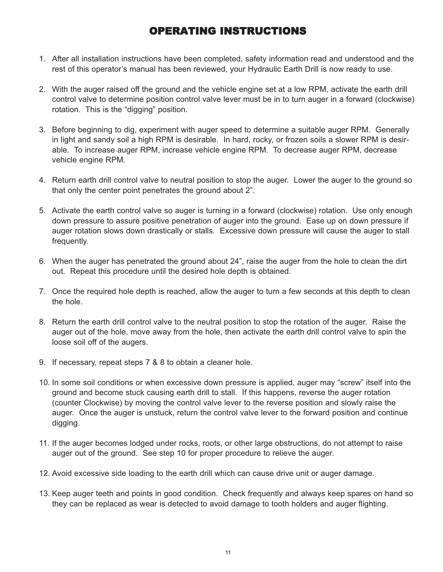## OPERATING INSTRUCTIONS

- 1. After all installation instructions have been completed, safety information read and understood and the rest of this operator's manual has been reviewed, your Hydraulic Earth Drill is now ready to use.
- 2. With the auger raised off the ground and the vehicle engine set at a low RPM, activate the earth drill control valve to determine position control valve lever must be in to turn auger in a forward (clockwise) rotation. This is the "digging" position.
- 3. Before beginning to dig, experiment with auger speed to determine a suitable auger RPM. Generally in light and sandy soil a high RPM is desirable. In hard, rocky, or frozen soils a slower RPM is desirable. To increase auger RPM, increase vehicle engine RPM. To decrease auger RPM, decrease vehicle engine RPM.
- 4. Return earth drill control valve to neutral position to stop the auger. Lower the auger to the ground so that only the center point penetrates the ground about 2".
- 5. Activate the earth control valve so auger is turning in a forward (clockwise) rotation. Use only enough down pressure to assure positive penetration of auger into the ground. Ease up on down pressure if auger rotation slows down drastically or stalls. Excessive down pressure will cause the auger to stall frequently.
- 6. When the auger has penetrated the ground about 24", raise the auger from the hole to clean the dirt out. Repeat this procedure until the desired hole depth is obtained.
- 7. Once the required hole depth is reached, allow the auger to turn a few seconds at this depth to clean the hole.
- 8. Return the earth drill control valve to the neutral position to stop the rotation of the auger. Raise the auger out of the hole, move away from the hole, then activate the earth drill control valve to spin the loose soil off of the augers.
- 9. If necessary, repeat steps 7 & 8 to obtain a cleaner hole.
- 10. In some soil conditions or when excessive down pressure is applied, auger may "screw" itself into the ground and become stuck causing earth drill to stall. If this happens, reverse the auger rotation (counter Clockwise) by moving the control valve lever to the reverse position and slowly raise the auger. Once the auger is unstuck, return the control valve lever to the forward position and continue digging.
- 11. If the auger becomes lodged under rocks, roots, or other large obstructions, do not attempt to raise auger out of the ground. See step 10 for proper procedure to relieve the auger.
- 12. Avoid excessive side loading to the earth drill which can cause drive unit or auger damage.
- 13. Keep auger teeth and points in good condition. Check frequently and always keep spares on hand so they can be replaced as wear is detected to avoid damage to tooth holders and auger flighting.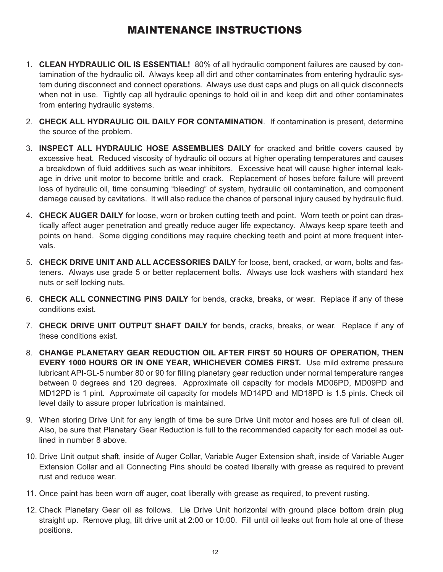## MAINTENANCE INSTRUCTIONS

- 1. **CLEAN HYDRAULIC OIL IS ESSENTIAL!** 80% of all hydraulic component failures are caused by contamination of the hydraulic oil. Always keep all dirt and other contaminates from entering hydraulic system during disconnect and connect operations. Always use dust caps and plugs on all quick disconnects when not in use. Tightly cap all hydraulic openings to hold oil in and keep dirt and other contaminates from entering hydraulic systems.
- 2. **CHECK ALL HYDRAULIC OIL DAILY FOR CONTAMINATION**. If contamination is present, determine the source of the problem.
- 3. **INSPECT ALL HYDRAULIC HOSE ASSEMBLIES DAILY** for cracked and brittle covers caused by excessive heat. Reduced viscosity of hydraulic oil occurs at higher operating temperatures and causes a breakdown of fluid additives such as wear inhibitors. Excessive heat will cause higher internal leakage in drive unit motor to become brittle and crack. Replacement of hoses before failure will prevent loss of hydraulic oil, time consuming "bleeding" of system, hydraulic oil contamination, and component damage caused by cavitations. It will also reduce the chance of personal injury caused by hydraulic fluid.
- 4. **CHECK AUGER DAILY** for loose, worn or broken cutting teeth and point. Worn teeth or point can drastically affect auger penetration and greatly reduce auger life expectancy. Always keep spare teeth and points on hand. Some digging conditions may require checking teeth and point at more frequent intervals.
- 5. **CHECK DRIVE UNIT AND ALL ACCESSORIES DAILY** for loose, bent, cracked, or worn, bolts and fasteners. Always use grade 5 or better replacement bolts. Always use lock washers with standard hex nuts or self locking nuts.
- 6. **CHECK ALL CONNECTING PINS DAILY** for bends, cracks, breaks, or wear. Replace if any of these conditions exist.
- 7. **CHECK DRIVE UNIT OUTPUT SHAFT DAILY** for bends, cracks, breaks, or wear. Replace if any of these conditions exist.
- 8. **CHANGE PLANETARY GEAR REDUCTION OIL AFTER FIRST 50 HOURS OF OPERATION, THEN EVERY 1000 HOURS OR IN ONE YEAR, WHICHEVER COMES FIRST.** Use mild extreme pressure lubricant API-GL-5 number 80 or 90 for filling planetary gear reduction under normal temperature ranges between 0 degrees and 120 degrees. Approximate oil capacity for models MD06PD, MD09PD and MD12PD is 1 pint. Approximate oil capacity for models MD14PD and MD18PD is 1.5 pints. Check oil level daily to assure proper lubrication is maintained.
- 9. When storing Drive Unit for any length of time be sure Drive Unit motor and hoses are full of clean oil. Also, be sure that Planetary Gear Reduction is full to the recommended capacity for each model as outlined in number 8 above.
- 10. Drive Unit output shaft, inside of Auger Collar, Variable Auger Extension shaft, inside of Variable Auger Extension Collar and all Connecting Pins should be coated liberally with grease as required to prevent rust and reduce wear.
- 11. Once paint has been worn off auger, coat liberally with grease as required, to prevent rusting.
- 12. Check Planetary Gear oil as follows. Lie Drive Unit horizontal with ground place bottom drain plug straight up. Remove plug, tilt drive unit at 2:00 or 10:00. Fill until oil leaks out from hole at one of these positions.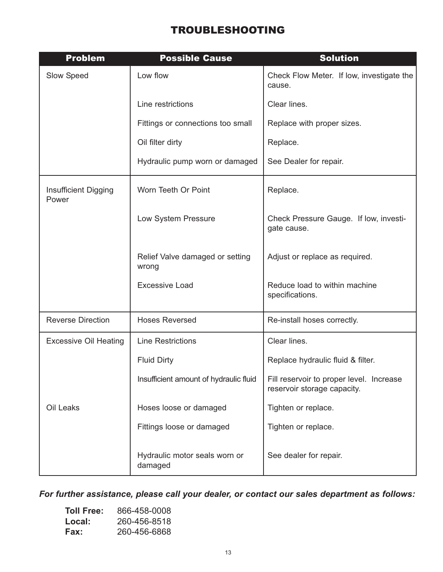## TROUBLESHOOTING

| <b>Problem</b>                       | <b>Possible Cause</b>                    | <b>Solution</b>                                                         |
|--------------------------------------|------------------------------------------|-------------------------------------------------------------------------|
| Slow Speed                           | Low flow                                 | Check Flow Meter. If low, investigate the<br>cause.                     |
|                                      | Line restrictions                        | Clear lines.                                                            |
|                                      | Fittings or connections too small        | Replace with proper sizes.                                              |
|                                      | Oil filter dirty                         | Replace.                                                                |
|                                      | Hydraulic pump worn or damaged           | See Dealer for repair.                                                  |
| <b>Insufficient Digging</b><br>Power | Worn Teeth Or Point                      | Replace.                                                                |
|                                      | Low System Pressure                      | Check Pressure Gauge. If low, investi-<br>gate cause.                   |
|                                      | Relief Valve damaged or setting<br>wrong | Adjust or replace as required.                                          |
|                                      | <b>Excessive Load</b>                    | Reduce load to within machine<br>specifications.                        |
| <b>Reverse Direction</b>             | <b>Hoses Reversed</b>                    | Re-install hoses correctly.                                             |
| <b>Excessive Oil Heating</b>         | <b>Line Restrictions</b>                 | Clear lines.                                                            |
|                                      | <b>Fluid Dirty</b>                       | Replace hydraulic fluid & filter.                                       |
|                                      | Insufficient amount of hydraulic fluid   | Fill reservoir to proper level. Increase<br>reservoir storage capacity. |
| Oil Leaks                            | Hoses loose or damaged                   | Tighten or replace.                                                     |
|                                      | Fittings loose or damaged                | Tighten or replace.                                                     |
|                                      | Hydraulic motor seals worn or<br>damaged | See dealer for repair.                                                  |

*For further assistance, please call your dealer, or contact our sales department as follows:*

| <b>Toll Free:</b> | 866-458-0008 |
|-------------------|--------------|
| Local:            | 260-456-8518 |
| Fax:              | 260-456-6868 |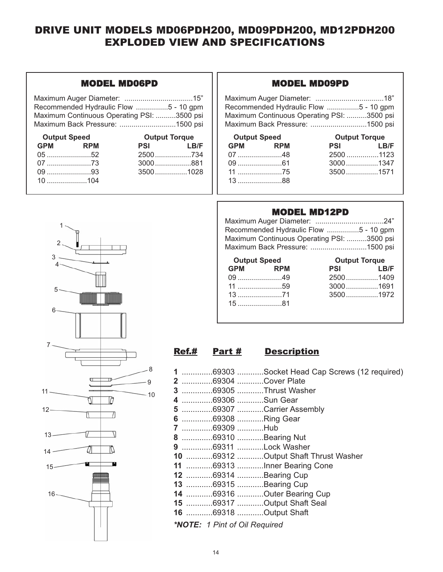## DRIVE UNIT MODELS MD06PDH200, MD09PDH200, MD12PDH200 EXPLODED VIEW AND SPECIFICATIONS

#### MODEL MD06PD

| Recommended Hydraulic Flow 5 - 10 gpm      |  |
|--------------------------------------------|--|
| Maximum Continuous Operating PSI: 3500 psi |  |
| Maximum Back Pressure: 1500 psi            |  |

| <b>Output Speed</b> |         | <b>Output Torque</b> |      |
|---------------------|---------|----------------------|------|
|                     | GPM RPM | <b>PSI</b>           | LB/F |
|                     |         | 2500734              |      |
|                     |         | $3000$ 881           |      |
|                     | $09$ 93 |                      |      |
|                     |         |                      |      |

#### MODEL MD09PD

| Recommended Hydraulic Flow 5 - 10 gpm      |  |
|--------------------------------------------|--|
| Maximum Continuous Operating PSI: 3500 psi |  |
| Maximum Back Pressure: 1500 psi            |  |

| <b>Output Speed</b> |  | <b>Output Torque</b> |      |
|---------------------|--|----------------------|------|
| GPM RPM             |  | <b>PSI</b>           | LB/F |
|                     |  | 2500 1123            |      |
|                     |  | $3000$ 1347          |      |
|                     |  | $3500$ 1571          |      |
| $13$ 88             |  |                      |      |

#### MODEL MD12PD

| Recommended Hydraulic Flow 5 - 10 gpm      |  |
|--------------------------------------------|--|
| Maximum Continuous Operating PSI: 3500 psi |  |
| Maximum Back Pressure: 1500 psi            |  |

| <b>Output Speed</b> |  | <b>Output Torque</b> |    |
|---------------------|--|----------------------|----|
| GPM RPM             |  | <b>PSI</b>           | LF |
|                     |  | $2500$ 14            |    |
|                     |  | $3000$ 16            |    |
|                     |  | $3500$ 19            |    |
| _15 ……………………81      |  |                      |    |

| <b>Output Speed</b> |                                                                                                                                                                                                                                                                                                                                            | <b>Output Torque</b> |                   |  |
|---------------------|--------------------------------------------------------------------------------------------------------------------------------------------------------------------------------------------------------------------------------------------------------------------------------------------------------------------------------------------|----------------------|-------------------|--|
|                     | GPM RPM                                                                                                                                                                                                                                                                                                                                    | <b>PSI</b>           | <b>Example 18</b> |  |
|                     | 09 49                                                                                                                                                                                                                                                                                                                                      | $2500$ 1409          |                   |  |
|                     | 11 59                                                                                                                                                                                                                                                                                                                                      | $3000$ 1691          |                   |  |
|                     | 13 71                                                                                                                                                                                                                                                                                                                                      | $3500$ 1972          |                   |  |
|                     | $\overline{A}$ $\overline{C}$ and $\overline{C}$ and $\overline{C}$ and $\overline{C}$ and $\overline{C}$ and $\overline{C}$ and $\overline{C}$ and $\overline{C}$ and $\overline{C}$ and $\overline{C}$ and $\overline{C}$ and $\overline{C}$ and $\overline{C}$ and $\overline{C}$ and $\overline{C}$ and $\overline{C}$ and $\overline$ |                      |                   |  |

#### Ref.# Part # Description

|                                      | 1 69303 Socket Head Cap Screws (12 required) |
|--------------------------------------|----------------------------------------------|
|                                      | 2 69304 Cover Plate                          |
|                                      | 3 69305 Thrust Washer                        |
| 4 69306 Sun Gear                     |                                              |
|                                      | 5 69307 Carrier Assembly                     |
| 6 69308 Ring Gear                    |                                              |
| 7 69309 Hub                          |                                              |
|                                      | 8 69310 Bearing Nut                          |
|                                      | 9 69311 Lock Washer                          |
|                                      | 10 69312 Output Shaft Thrust Washer          |
|                                      | 11 69313 Inner Bearing Cone                  |
|                                      | 12 69314 Bearing Cup                         |
|                                      | 13 69315 Bearing Cup                         |
|                                      | 14 69316 Outer Bearing Cup                   |
|                                      | 15 69317 Output Shaft Seal                   |
|                                      | 16 69318 Output Shaft                        |
| <b>*NOTE:</b> 1 Pint of Oil Required |                                              |



1

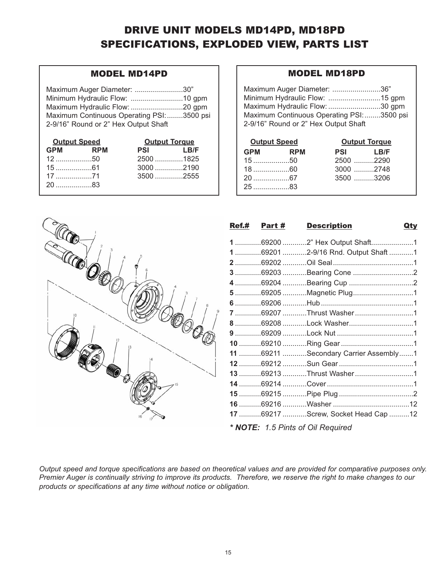## DRIVE UNIT MODELS MD14PD, MD18PD SPECIFICATIONS, EXPLODED VIEW, PARTS LIST

#### MODEL MD14PD

Maximum Auger Diameter: ........................30" Minimum Hydraulic Flow: ..........................10 gpm Maximum Hydraulic Flow: ..........................20 gpm Maximum Continuous Operating PSI:........3500 psi 2-9/16" Round or 2" Hex Output Shaft

| <b>Output Speed</b> |  | <b>Output Torque</b> |      |
|---------------------|--|----------------------|------|
| GPM RPM             |  | <b>PSI</b>           | LB/F |
|                     |  |                      |      |
|                     |  |                      |      |
|                     |  |                      |      |
| 2083                |  |                      |      |

#### MODEL MD18PD

| Maximum Auger Diameter: 36"               |  |
|-------------------------------------------|--|
|                                           |  |
| Maximum Hydraulic Flow: 30 gpm            |  |
| Maximum Continuous Operating PSI:3500 psi |  |
| 2-9/16" Round or 2" Hex Output Shaft      |  |

| <b>Output Speed</b> |  | <b>Output Torque</b> |  |
|---------------------|--|----------------------|--|
| GPM RPM             |  | PSI LB/F             |  |
|                     |  | 2500 2290            |  |
|                     |  | $3000$ 2748          |  |
| 2067                |  | $3500$ 3206          |  |
| $25$ 83             |  |                      |  |



| <u>Ref.# Part #</u> | <b>Description</b>                   | <u>Qty</u> |
|---------------------|--------------------------------------|------------|
|                     | 1 69200 2" Hex Output Shaft1         |            |
|                     | 1692012-9/16 Rnd. Output Shaft 1     |            |
|                     |                                      |            |
|                     | 3 69203 Bearing Cone 2               |            |
|                     |                                      |            |
|                     | 5 69205 Magnetic Plug1               |            |
|                     |                                      |            |
|                     | 7 69207 Thrust Washer 1              |            |
|                     | 8 69208 Lock Washer1                 |            |
|                     |                                      |            |
|                     |                                      |            |
|                     | 11 69211 Secondary Carrier Assembly1 |            |
|                     |                                      |            |
|                     | 13 69213 Thrust Washer 1             |            |
|                     |                                      |            |
|                     |                                      |            |
|                     |                                      |            |
|                     | 17 69217 Screw, Socket Head Cap 12   |            |
|                     |                                      |            |

*\* NOTE: 1.5 Pints of Oil Required*

*Output speed and torque specifications are based on theoretical values and are provided for comparative purposes only. products or specifications at any time without notice or obligation. products or specifications at any time without notice or obligation.*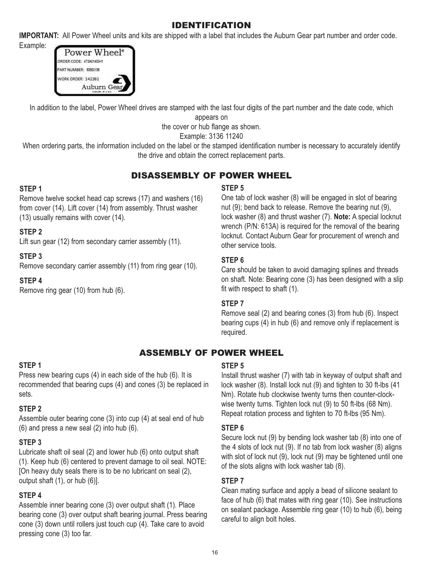## IDENTIFICATION

**IMPORTANT:** All Power Wheel units and kits are shipped with a label that includes the Auburn Gear part number and order code.

Example:



In addition to the label, Power Wheel drives are stamped with the last four digits of the part number and the date code, which

appears on

the cover or hub flange as shown.

Example: 3136 11240

When ordering parts, the information included on the label or the stamped identification number is necessary to accurately identify the drive and obtain the correct replacement parts.

## DISASSEMBLY OF POWER WHEEL

#### **STEP 1**

Remove twelve socket head cap screws (17) and washers (16) from cover (14). Lift cover (14) from assembly. Thrust washer (13) usually remains with cover (14).

#### **STEP 2**

Lift sun gear (12) from secondary carrier assembly (11).

#### **STEP 3**

Remove secondary carrier assembly (11) from ring gear (10).

#### **STEP 4**

Remove ring gear (10) from hub (6).

#### **STEP 5**

One tab of lock washer (8) will be engaged in slot of bearing nut (9); bend back to release. Remove the bearing nut (9), lock washer (8) and thrust washer (7). **Note:** A special locknut wrench (P/N: 613A) is required for the removal of the bearing locknut. Contact Auburn Gear for procurement of wrench and other service tools.

#### **STEP 6**

Care should be taken to avoid damaging splines and threads on shaft. Note: Bearing cone (3) has been designed with a slip fit with respect to shaft (1).

#### **STEP 7**

Remove seal (2) and bearing cones (3) from hub (6). Inspect bearing cups (4) in hub (6) and remove only if replacement is required.

## ASSEMBLY OF POWER WHEEL

#### **STEP 1**

Press new bearing cups (4) in each side of the hub (6). It is recommended that bearing cups (4) and cones (3) be replaced in sets.

#### **STEP 2**

Assemble outer bearing cone (3) into cup (4) at seal end of hub (6) and press a new seal (2) into hub (6).

#### **STEP 3**

Lubricate shaft oil seal (2) and lower hub (6) onto output shaft (1). Keep hub (6) centered to prevent damage to oil seal. NOTE: [On heavy duty seals there is to be no lubricant on seal (2), output shaft (1), or hub (6)].

#### **STEP 4**

Assemble inner bearing cone (3) over output shaft (1). Place bearing cone (3) over output shaft bearing journal. Press bearing cone (3) down until rollers just touch cup (4). Take care to avoid pressing cone (3) too far.

#### **STEP 5**

Install thrust washer (7) with tab in keyway of output shaft and lock washer (8). Install lock nut (9) and tighten to 30 ft-lbs (41 Nm). Rotate hub clockwise twenty turns then counter-clockwise twenty turns. Tighten lock nut (9) to 50 ft-lbs (68 Nm). Repeat rotation process and tighten to 70 ft-lbs (95 Nm).

#### **STEP 6**

Secure lock nut (9) by bending lock washer tab (8) into one of the 4 slots of lock nut (9). If no tab from lock washer (8) aligns with slot of lock nut (9), lock nut (9) may be tightened until one of the slots aligns with lock washer tab (8).

#### **STEP 7**

Clean mating surface and apply a bead of silicone sealant to face of hub (6) that mates with ring gear (10). See instructions on sealant package. Assemble ring gear (10) to hub (6), being careful to align bolt holes.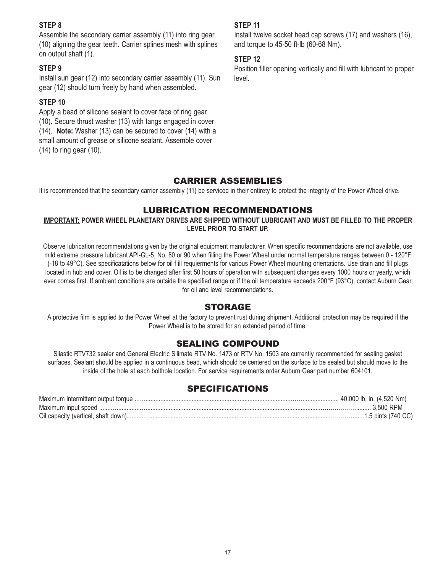#### **STEP 8**

Assemble the secondary carrier assembly (11) into ring gear (10) aligning the gear teeth. Carrier splines mesh with splines on output shaft (1).

#### **STEP 9**

Install sun gear (12) into secondary carrier assembly (11). Sun gear (12) should turn freely by hand when assembled.

#### **STEP 10**

Apply a bead of silicone sealant to cover face of ring gear (10). Secure thrust washer (13) with tangs engaged in cover (14). **Note:** Washer (13) can be secured to cover (14) with a small amount of grease or silicone sealant. Assemble cover (14) to ring gear (10).

#### **STEP 11**

Install twelve socket head cap screws (17) and washers (16), and torque to 45-50 ft-lb (60-68 Nm).

#### **STEP 12**

Position filler opening vertically and fill with lubricant to proper level.

#### CARRIER ASSEMBLIES

It is recommended that the secondary carrier assembly (11) be serviced in their entirety to protect the integrity of the Power Wheel drive.

#### LUBRICATION RECOMMENDATIONS

#### **IMPORTANT: POWER WHEEL PLANETARY DRIVES ARE SHIPPED WITHOUT LUBRICANT AND MUST BE FILLED TO THE PROPER LEVEL PRIOR TO START UP.**

Observe lubrication recommendations given by the original equipment manufacturer. When specific recommendations are not available, use mild extreme pressure lubricant API-GL-5, No. 80 or 90 when filling the Power Wheel under normal temperature ranges between 0 - 120°F (-18 to 49°C). See specificatations below for oil f ill requierments for various Power Wheel mounting orientations. Use drain and fill plugs located in hub and cover. Oil is to be changed after first 50 hours of operation with subsequent changes every 1000 hours or yearly, which ever comes first. If ambient conditions are outside the specified range or if the oil temperature exceeds 200°F (93°C), contact Auburn Gear for oil and level recommendations.

#### STORAGE

A protective film is applied to the Power Wheel at the factory to prevent rust during shipment. Additional protection may be required if the Power Wheel is to be stored for an extended period of time.

#### SEALING COMPOUND

Silastic RTV732 sealer and General Electric Silimate RTV No. 1473 or RTV No. 1503 are currently recommended for sealing gasket surfaces. Sealant should be applied in a continuous bead, which should be centered on the surface to be sealed but should move to the inside of the hole at each bolthole location. For service requirements order Auburn Gear part number 604101.

#### SPECIFICATIONS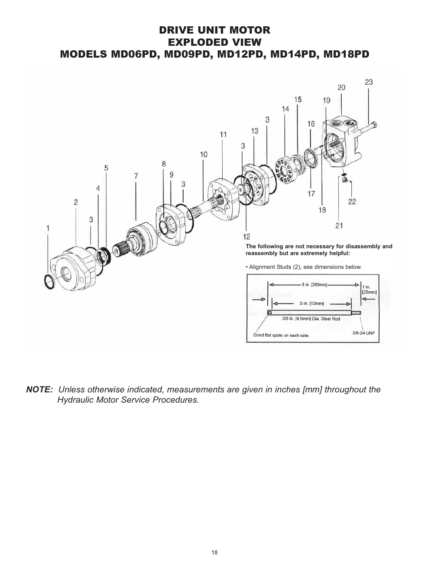## DRIVE UNIT MOTOR EXPLODED VIEW MODELS MD06PD, MD09PD, MD12PD, MD14PD, MD18PD



*NOTE: Unless otherwise indicated, measurements are given in inches [mm] throughout the Hydraulic Motor Service Procedures.*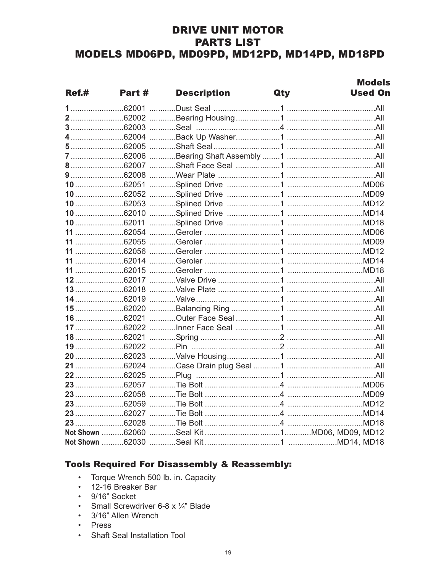## **DRIVE UNIT MOTOR PARTS LIST** MODELS MD06PD, MD09PD, MD12PD, MD14PD, MD18PD

|       |        |                    |            | <b>Models</b>  |
|-------|--------|--------------------|------------|----------------|
| Ref.# | Part # | <b>Description</b> | <b>Qty</b> | <b>Used On</b> |
|       |        |                    |            |                |
|       |        |                    |            |                |
|       |        |                    |            |                |
|       |        |                    |            |                |
|       |        |                    |            |                |
|       |        |                    |            |                |
|       |        |                    |            |                |
|       |        |                    |            |                |
|       |        |                    |            |                |
|       |        |                    |            |                |
|       |        |                    |            |                |
|       |        |                    |            |                |
|       |        |                    |            |                |
|       |        |                    |            |                |
|       |        |                    |            |                |
|       |        |                    |            |                |
|       |        |                    |            |                |
|       |        |                    |            |                |
|       |        |                    |            |                |
|       |        |                    |            |                |
|       |        |                    |            |                |
|       |        |                    |            |                |
|       |        |                    |            |                |
|       |        |                    |            |                |
|       |        |                    |            |                |
|       |        |                    |            |                |
|       |        |                    |            |                |
|       |        |                    |            |                |
|       |        |                    |            |                |
|       |        |                    |            |                |
|       |        |                    |            |                |
|       |        |                    |            |                |
|       |        |                    |            |                |
|       |        |                    |            |                |
|       |        |                    |            |                |
|       |        |                    |            |                |

#### **Tools Required For Disassembly & Reassembly:**

- Torque Wrench 500 lb. in. Capacity
- 12-16 Breaker Bar
- 9/16" Socket
- Small Screwdriver 6-8 x 1/4" Blade
- 3/16" Allen Wrench
- Press
- Shaft Seal Installation Tool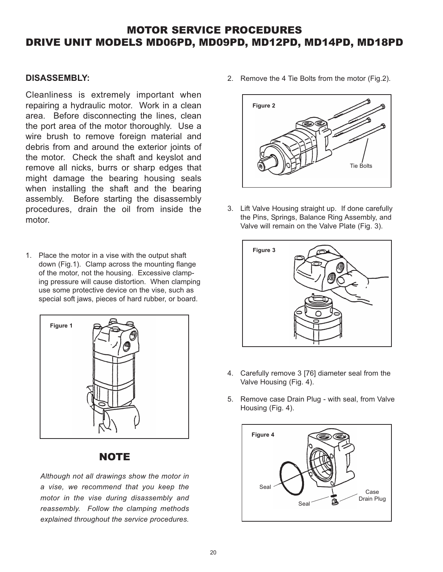#### **DISASSEMBLY:**

Cleanliness is extremely important when repairing a hydraulic motor. Work in a clean area. Before disconnecting the lines, clean the port area of the motor thoroughly. Use a wire brush to remove foreign material and debris from and around the exterior joints of the motor. Check the shaft and keyslot and remove all nicks, burrs or sharp edges that might damage the bearing housing seals when installing the shaft and the bearing assembly. Before starting the disassembly procedures, drain the oil from inside the motor.

1. Place the motor in a vise with the output shaft down (Fig.1). Clamp across the mounting flange of the motor, not the housing. Excessive clamping pressure will cause distortion. When clamping use some protective device on the vise, such as special soft jaws, pieces of hard rubber, or board.



#### **NOTE**

*Although not all drawings show the motor in motor in the vise during disassembly and* reassembly. Follow the clamping methods explained throughout the service procedures. *explained throughout the service procedures.*

2. Remove the 4 Tie Bolts from the motor (Fig.2).



3. Lift Valve Housing straight up. If done carefully the Pins, Springs, Balance Ring Assembly, and Valve will remain on the Valve Plate (Fig. 3).



- 4. Carefully remove 3 [76] diameter seal from the Valve Housing (Fig. 4).
- 5. Remove case Drain Plug with seal, from Valve Housing (Fig. 4).

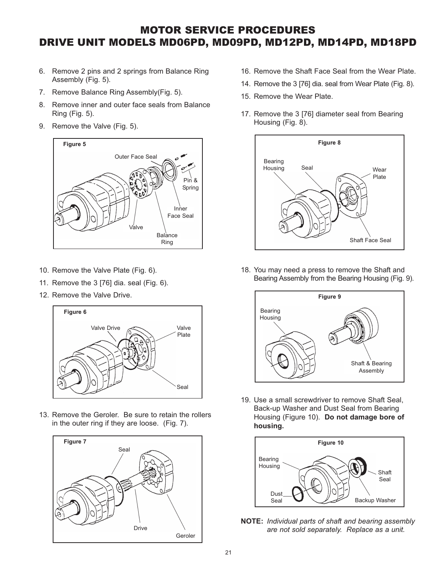- 6. Remove 2 pins and 2 springs from Balance Ring Assembly (Fig. 5).
- 7. Remove Balance Ring Assembly(Fig. 5).
- 8. Remove inner and outer face seals from Balance Ring (Fig. 5).
- 9. Remove the Valve (Fig. 5).



- 10. Remove the Valve Plate (Fig. 6).
- 11. Remove the 3 [76] dia. seal (Fig. 6).
- 12. Remove the Valve Drive.



13. Remove the Geroler. Be sure to retain the rollers in the outer ring if they are loose. (Fig. 7).



- 16. Remove the Shaft Face Seal from the Wear Plate.
- 14. Remove the 3 [76] dia. seal from Wear Plate (Fig. 8).
- 15. Remove the Wear Plate.
- 17. Remove the 3 [76] diameter seal from Bearing Housing (Fig. 8).



18. You may need a press to remove the Shaft and Bearing Assembly from the Bearing Housing (Fig. 9).



19. Use a small screwdriver to remove Shaft Seal, Back-up Washer and Dust Seal from Bearing Housing (Figure 10). **Do not damage bore of housing.**



**NOTE:** *Individual parts of shaft and bearing assembly are not sold separately. Replace as a unit.*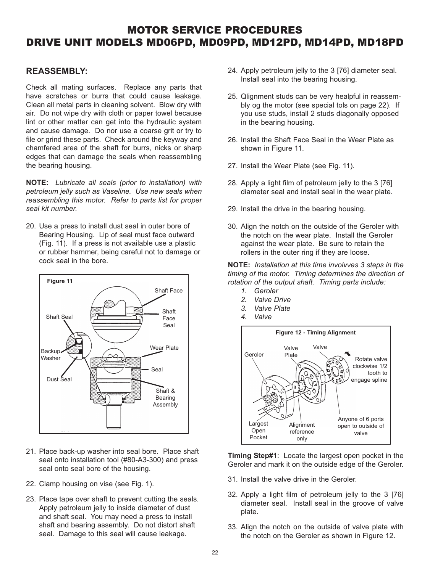#### **REASSEMBLY:**

Check all mating surfaces. Replace any parts that have scratches or burrs that could cause leakage. Clean all metal parts in cleaning solvent. Blow dry with air. Do not wipe dry with cloth or paper towel because lint or other matter can get into the hydraulic system and cause damage. Do nor use a coarse grit or try to file or grind these parts. Check around the keyway and chamfered area of the shaft for burrs, nicks or sharp edges that can damage the seals when reassembling the bearing housing.

**NOTE:** *Lubricate all seals (prior to installation) with reassembling this motor. Refer to parts list for proper reassembling this motor. Refer to parts list for proper*

20. Use a press to install dust seal in outer bore of Bearing Housing. Lip of seal must face outward (Fig. 11). If a press is not available use a plastic or rubber hammer, being careful not to damage or cock seal in the bore.



- 21. Place back-up washer into seal bore. Place shaft seal onto installation tool (#80-A3-300) and press seal onto seal bore of the housing.
- 22. Clamp housing on vise (see Fig. 1).
- 23. Place tape over shaft to prevent cutting the seals. Apply petroleum jelly to inside diameter of dust and shaft seal. You may need a press to install shaft and bearing assembly. Do not distort shaft seal. Damage to this seal will cause leakage.
- 24. Apply petroleum jelly to the 3 [76] diameter seal. Install seal into the bearing housing.
- 25. Qlignment studs can be very healpful in reassembly og the motor (see special tols on page 22). If you use studs, install 2 studs diagonally opposed in the bearing housing.
- 26. Install the Shaft Face Seal in the Wear Plate as shown in Figure 11.
- 27. Install the Wear Plate (see Fig. 11).
- 28. Apply a light film of petroleum jelly to the 3 [76] diameter seal and install seal in the wear plate.
- 29. Install the drive in the bearing housing.
- 30. Align the notch on the outside of the Geroler with the notch on the wear plate. Install the Geroler against the wear plate. Be sure to retain the rollers in the outer ring if they are loose.

**NOTE:** *Installation at this time involvves 3 steps in the rotation of the output shaft. Timing parts include:* 

- *1. Geroler*
- 2. Valve Drive
- 2. Valve Plate
- 4. Valve



**Timing Step#1**: Locate the largest open pocket in the Geroler and mark it on the outside edge of the Geroler.

- 31. Install the valve drive in the Geroler.
- 32. Apply a light film of petroleum jelly to the 3 [76] diameter seal. Install seal in the groove of valve plate.
- 33. Align the notch on the outside of valve plate with the notch on the Geroler as shown in Figure 12.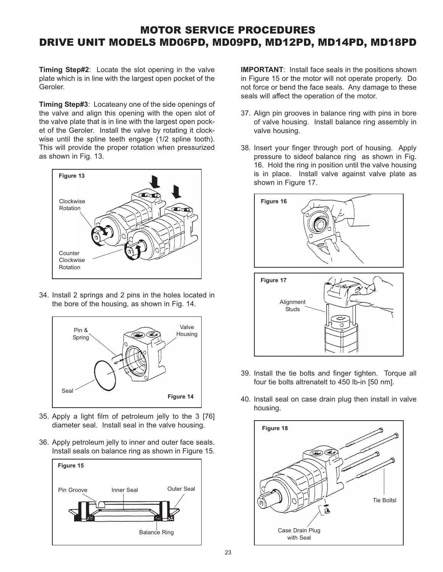**Timing Step#2**: Locate the slot opening in the valve plate which is in line with the largest open pocket of the Geroler.

**Timing Step#3**: Locateany one of the side openings of the valve and align this opening with the open slot of the valve plate that is in line with the largest open pocket of the Geroler. Install the valve by rotating it clockwise until the spline teeth engage (1/2 spline tooth). This will provide the proper rotation when pressurized as shown in Fig. 13.



34. Install 2 springs and 2 pins in the holes located in the bore of the housing, as shown in Fig. 14.



- 35. Apply a light film of petroleum jelly to the 3 [76] diameter seal. Install seal in the valve housing.
- 36. Apply petroleum jelly to inner and outer face seals. Install seals on balance ring as shown in Figure 15.



**IMPORTANT:** Install face seals in the positions shown in Figure 15 or the motor will not operate properly. Do not force or bend the face seals. Any damage to these seals will affect the operation of the motor.

- 37. Align pin grooves in balance ring with pins in bore of valve housing. Install balance ring assembly in valve housing.
- 38. Insert your finger through port of housing. Apply pressure to sideof balance ring as shown in Fig. 16. Hold the ring in position until the valve housing is in place. Install valve against valve plate as shown in Figure 17.



- 39. Install the tie bolts and finger tighten. Torque all four tie bolts altrenatelt to 450 lb-in [50 nm].
- 40. Install seal on case drain plug then install in valve housing.

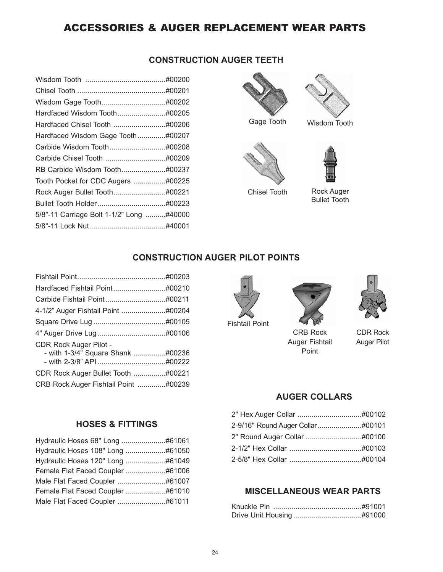## ACCESSORIES & AUGER REPLACEMENT WEAR PARTS

| <b>CONSTRUCTION AUGER TEETH</b> |  |
|---------------------------------|--|
|---------------------------------|--|

| Hardfaced Wisdom Gage Tooth#00207        |  |
|------------------------------------------|--|
|                                          |  |
|                                          |  |
| RB Carbide Wisdom Tooth#00237            |  |
| Tooth Pocket for CDC Augers #00225       |  |
|                                          |  |
|                                          |  |
| 5/8"-11 Carriage Bolt 1-1/2" Long #40000 |  |
|                                          |  |
|                                          |  |





Chisel Tooth Rock Auger Bullet Tooth

#### **CONSTRUCTION AUGER PILOT POINTS**

| CDR Rock Auger Pilot -               |  |
|--------------------------------------|--|
| - with 1-3/4" Square Shank #00236    |  |
|                                      |  |
| CDR Rock Auger Bullet Tooth #00221   |  |
| CRB Rock Auger Fishtail Point #00239 |  |
|                                      |  |



Fishtail Point



CRB Rock Auger Fishtail Point



CDR Rock Auger Pilot

#### **AUGER COLLARS**

| 2-9/16" Round Auger Collar#00101 |  |
|----------------------------------|--|
|                                  |  |
|                                  |  |
|                                  |  |

### **MISCELLANEOUS WEAR PARTS**

#### **HOSES & FITTINGS**